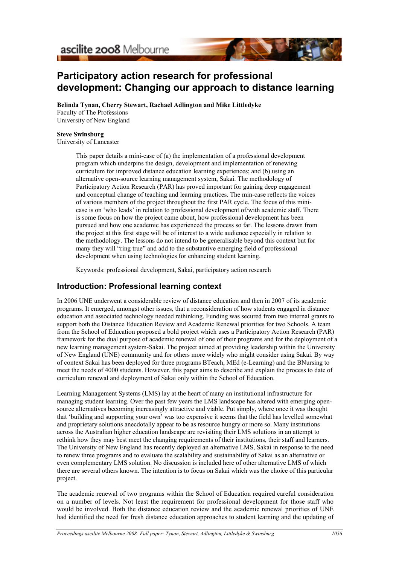

# **Participatory action research for professional development: Changing our approach to distance learning**

**Belinda Tynan, Cherry Stewart, Rachael Adlington and Mike Littledyke** Faculty of The Professions University of New England

#### **Steve Swinsburg**

University of Lancaster

This paper details a mini-case of (a) the implementation of a professional development program which underpins the design, development and implementation of renewing curriculum for improved distance education learning experiences; and (b) using an alternative open-source learning management system, Sakai. The methodology of Participatory Action Research (PAR) has proved important for gaining deep engagement and conceptual change of teaching and learning practices. The min-case reflects the voices of various members of the project throughout the first PAR cycle. The focus of this minicase is on 'who leads' in relation to professional development of/with academic staff. There is some focus on how the project came about, how professional development has been pursued and how one academic has experienced the process so far. The lessons drawn from the project at this first stage will be of interest to a wide audience especially in relation to the methodology. The lessons do not intend to be generalisable beyond this context but for many they will "ring true" and add to the substantive emerging field of professional development when using technologies for enhancing student learning.

Keywords: professional development, Sakai, participatory action research

### **Introduction: Professional learning context**

In 2006 UNE underwent a considerable review of distance education and then in 2007 of its academic programs. It emerged, amongst other issues, that a reconsideration of how students engaged in distance education and associated technology needed rethinking. Funding was secured from two internal grants to support both the Distance Education Review and Academic Renewal priorities for two Schools. A team from the School of Education proposed a bold project which uses a Participatory Action Research (PAR) framework for the dual purpose of academic renewal of one of their programs and for the deployment of a new learning management system-Sakai. The project aimed at providing leadership within the University of New England (UNE) community and for others more widely who might consider using Sakai. By way of context Sakai has been deployed for three programs BTeach, MEd (e-Learning) and the BNursing to meet the needs of 4000 students. However, this paper aims to describe and explain the process to date of curriculum renewal and deployment of Sakai only within the School of Education.

Learning Management Systems (LMS) lay at the heart of many an institutional infrastructure for managing student learning. Over the past few years the LMS landscape has altered with emerging opensource alternatives becoming increasingly attractive and viable. Put simply, where once it was thought that 'building and supporting your own' was too expensive it seems that the field has levelled somewhat and proprietary solutions anecdotally appear to be as resource hungry or more so. Many institutions across the Australian higher education landscape are revisiting their LMS solutions in an attempt to rethink how they may best meet the changing requirements of their institutions, their staff and learners. The University of New England has recently deployed an alternative LMS, Sakai in response to the need to renew three programs and to evaluate the scalability and sustainability of Sakai as an alternative or even complementary LMS solution. No discussion is included here of other alternative LMS of which there are several others known. The intention is to focus on Sakai which was the choice of this particular project.

The academic renewal of two programs within the School of Education required careful consideration on a number of levels. Not least the requirement for professional development for those staff who would be involved. Both the distance education review and the academic renewal priorities of UNE had identified the need for fresh distance education approaches to student learning and the updating of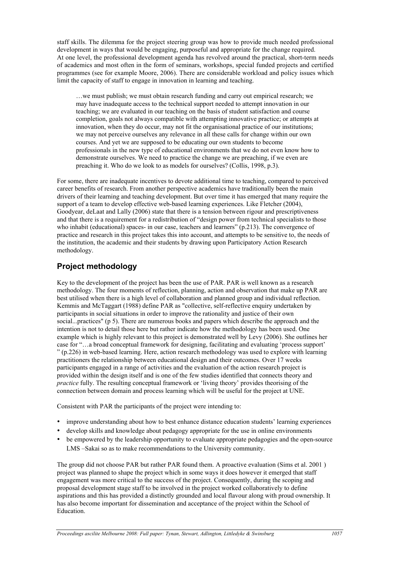staff skills. The dilemma for the project steering group was how to provide much needed professional development in ways that would be engaging, purposeful and appropriate for the change required. At one level, the professional development agenda has revolved around the practical, short-term needs of academics and most often in the form of seminars, workshops, special funded projects and certified programmes (see for example Moore, 2006). There are considerable workload and policy issues which limit the capacity of staff to engage in innovation in learning and teaching.

…we must publish; we must obtain research funding and carry out empirical research; we may have inadequate access to the technical support needed to attempt innovation in our teaching; we are evaluated in our teaching on the basis of student satisfaction and course completion, goals not always compatible with attempting innovative practice; or attempts at innovation, when they do occur, may not fit the organisational practice of our institutions; we may not perceive ourselves any relevance in all these calls for change within our own courses. And yet we are supposed to be educating our own students to become professionals in the new type of educational environments that we do not even know how to demonstrate ourselves. We need to practice the change we are preaching, if we even are preaching it. Who do we look to as models for ourselves? (Collis, 1998, p.3).

For some, there are inadequate incentives to devote additional time to teaching, compared to perceived career benefits of research. From another perspective academics have traditionally been the main drivers of their learning and teaching development. But over time it has emerged that many require the support of a team to develop effective web-based learning experiences. Like Fletcher (2004), Goodyear, deLaat and Lally (2006) state that there is a tension between rigour and prescriptiveness and that there is a requirement for a redistribution of "design power from technical specialists to those who inhabit (educational) spaces- in our case, teachers and learners" (p.213). The convergence of practice and research in this project takes this into account, and attempts to be sensitive to, the needs of the institution, the academic and their students by drawing upon Participatory Action Research methodology.

## **Project methodology**

Key to the development of the project has been the use of PAR. PAR is well known as a research methodology. The four moments of reflection, planning, action and observation that make up PAR are best utilised when there is a high level of collaboration and planned group and individual reflection. Kemmis and McTaggart (1988) define PAR as "collective, self-reflective enquiry undertaken by participants in social situations in order to improve the rationality and justice of their own social...practices" (p 5). There are numerous books and papers which describe the approach and the intention is not to detail those here but rather indicate how the methodology has been used. One example which is highly relevant to this project is demonstrated well by Levy (2006). She outlines her case for "…a broad conceptual framework for designing, facilitating and evaluating 'process support' " (p.226) in web-based learning. Here, action research methodology was used to explore with learning practitioners the relationship between educational design and their outcomes. Over 17 weeks participants engaged in a range of activities and the evaluation of the action research project is provided within the design itself and is one of the few studies identified that connects theory and *practice* fully. The resulting conceptual framework or 'living theory' provides theorising of the connection between domain and process learning which will be useful for the project at UNE.

Consistent with PAR the participants of the project were intending to:

- improve understanding about how to best enhance distance education students' learning experiences
- develop skills and knowledge about pedagogy appropriate for the use in online environments
- be empowered by the leadership opportunity to evaluate appropriate pedagogies and the open-source LMS –Sakai so as to make recommendations to the University community.

The group did not choose PAR but rather PAR found them. A proactive evaluation (Sims et al. 2001 ) project was planned to shape the project which in some ways it does however it emerged that staff engagement was more critical to the success of the project. Consequently, during the scoping and proposal development stage staff to be involved in the project worked collaboratively to define aspirations and this has provided a distinctly grounded and local flavour along with proud ownership. It has also become important for dissemination and acceptance of the project within the School of Education.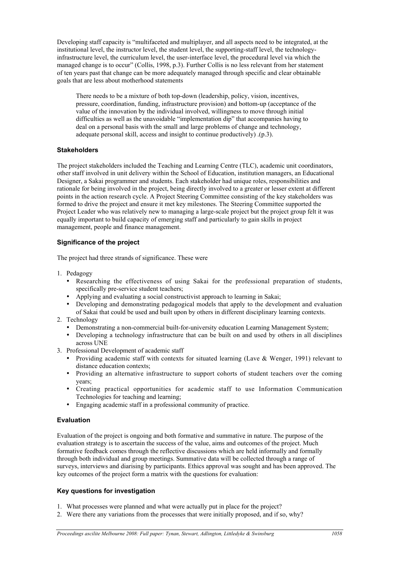Developing staff capacity is "multifaceted and multiplayer, and all aspects need to be integrated, at the institutional level, the instructor level, the student level, the supporting-staff level, the technologyinfrastructure level, the curriculum level, the user-interface level, the procedural level via which the managed change is to occur" (Collis, 1998, p.3). Further Collis is no less relevant from her statement of ten years past that change can be more adequately managed through specific and clear obtainable goals that are less about motherhood statements

There needs to be a mixture of both top-down (leadership, policy, vision, incentives, pressure, coordination, funding, infrastructure provision) and bottom-up (acceptance of the value of the innovation by the individual involved, willingness to move through initial difficulties as well as the unavoidable "implementation dip" that accompanies having to deal on a personal basis with the small and large problems of change and technology, adequate personal skill, access and insight to continue productively) .(p.3).

#### **Stakeholders**

The project stakeholders included the Teaching and Learning Centre (TLC), academic unit coordinators, other staff involved in unit delivery within the School of Education, institution managers, an Educational Designer, a Sakai programmer and students. Each stakeholder had unique roles, responsibilities and rationale for being involved in the project, being directly involved to a greater or lesser extent at different points in the action research cycle. A Project Steering Committee consisting of the key stakeholders was formed to drive the project and ensure it met key milestones. The Steering Committee supported the Project Leader who was relatively new to managing a large-scale project but the project group felt it was equally important to build capacity of emerging staff and particularly to gain skills in project management, people and finance management.

#### **Significance of the project**

The project had three strands of significance. These were

- 1. Pedagogy
	- Researching the effectiveness of using Sakai for the professional preparation of students, specifically pre-service student teachers;
	- Applying and evaluating a social constructivist approach to learning in Sakai;
	- Developing and demonstrating pedagogical models that apply to the development and evaluation of Sakai that could be used and built upon by others in different disciplinary learning contexts.
- 2. Technology
	- Demonstrating a non-commercial built-for-university education Learning Management System;
	- Developing a technology infrastructure that can be built on and used by others in all disciplines across UNE
- 3. Professional Development of academic staff
	- Providing academic staff with contexts for situated learning (Lave  $\&$  Wenger, 1991) relevant to distance education contexts;
	- Providing an alternative infrastructure to support cohorts of student teachers over the coming years;
	- Creating practical opportunities for academic staff to use Information Communication Technologies for teaching and learning;
	- Engaging academic staff in a professional community of practice.

#### **Evaluation**

Evaluation of the project is ongoing and both formative and summative in nature. The purpose of the evaluation strategy is to ascertain the success of the value, aims and outcomes of the project. Much formative feedback comes through the reflective discussions which are held informally and formally through both individual and group meetings. Summative data will be collected through a range of surveys, interviews and diarising by participants. Ethics approval was sought and has been approved. The key outcomes of the project form a matrix with the questions for evaluation:

#### **Key questions for investigation**

- 1. What processes were planned and what were actually put in place for the project?
- 2. Were there any variations from the processes that were initially proposed, and if so, why?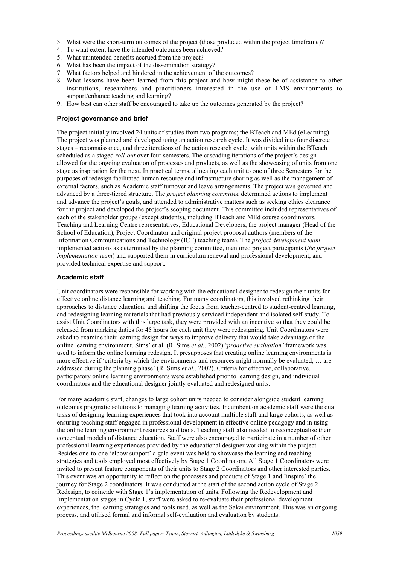- 3. What were the short-term outcomes of the project (those produced within the project timeframe)?
- 4. To what extent have the intended outcomes been achieved?
- 5. What unintended benefits accrued from the project?
- 6. What has been the impact of the dissemination strategy?
- 7. What factors helped and hindered in the achievement of the outcomes?
- 8. What lessons have been learned from this project and how might these be of assistance to other institutions, researchers and practitioners interested in the use of LMS environments to support/enhance teaching and learning?
- 9. How best can other staff be encouraged to take up the outcomes generated by the project?

#### **Project governance and brief**

The project initially involved 24 units of studies from two programs; the BTeach and MEd (eLearning). The project was planned and developed using an action research cycle. It was divided into four discrete stages – reconnaissance, and three iterations of the action research cycle, with units within the BTeach scheduled as a staged *roll-out* over four semesters. The cascading iterations of the project's design allowed for the ongoing evaluation of processes and products, as well as the showcasing of units from one stage as inspiration for the next. In practical terms, allocating each unit to one of three Semesters for the purposes of redesign facilitated human resource and infrastructure sharing as well as the management of external factors, such as Academic staff turnover and leave arrangements. The project was governed and advanced by a three-tiered structure. The *project planning committee* determined actions to implement and advance the project's goals, and attended to administrative matters such as seeking ethics clearance for the project and developed the project's scoping document. This committee included representatives of each of the stakeholder groups (except students), including BTeach and MEd course coordinators, Teaching and Learning Centre representatives, Educational Developers, the project manager (Head of the School of Education), Project Coordinator and original project proposal authors (members of the Information Communications and Technology (ICT) teaching team). The *project development team* implemented actions as determined by the planning committee, mentored project participants (*the project implementation team*) and supported them in curriculum renewal and professional development, and provided technical expertise and support.

#### **Academic staff**

Unit coordinators were responsible for working with the educational designer to redesign their units for effective online distance learning and teaching. For many coordinators, this involved rethinking their approaches to distance education, and shifting the focus from teacher-centred to student-centred learning, and redesigning learning materials that had previously serviced independent and isolated self-study. To assist Unit Coordinators with this large task, they were provided with an incentive so that they could be released from marking duties for 45 hours for each unit they were redesigning. Unit Coordinators were asked to examine their learning design for ways to improve delivery that would take advantage of the online learning environment. Sims' et al. (R. Sims *et al.*, 2002) '*proactive evaluation'* framework was used to inform the online learning redesign. It presupposes that creating online learning environments is more effective if 'criteria by which the environments and resources might normally be evaluated, … are addressed during the planning phase' (R. Sims *et al.*, 2002). Criteria for effective, collaborative, participatory online learning environments were established prior to learning design, and individual coordinators and the educational designer jointly evaluated and redesigned units.

For many academic staff, changes to large cohort units needed to consider alongside student learning outcomes pragmatic solutions to managing learning activities. Incumbent on academic staff were the dual tasks of designing learning experiences that took into account multiple staff and large cohorts, as well as ensuring teaching staff engaged in professional development in effective online pedagogy and in using the online learning environment resources and tools. Teaching staff also needed to reconceptualise their conceptual models of distance education. Staff were also encouraged to participate in a number of other professional learning experiences provided by the educational designer working within the project. Besides one-to-one 'elbow support' a gala event was held to showcase the learning and teaching strategies and tools employed most effectively by Stage 1 Coordinators. All Stage 1 Coordinators were invited to present feature components of their units to Stage 2 Coordinators and other interested parties. This event was an opportunity to reflect on the processes and products of Stage 1 and 'inspire' the journey for Stage 2 coordinators. It was conducted at the start of the second action cycle of Stage 2 Redesign, to coincide with Stage 1's implementation of units. Following the Redevelopment and Implementation stages in Cycle 1, staff were asked to re-evaluate their professional development experiences, the learning strategies and tools used, as well as the Sakai environment. This was an ongoing process, and utilised formal and informal self-evaluation and evaluation by students.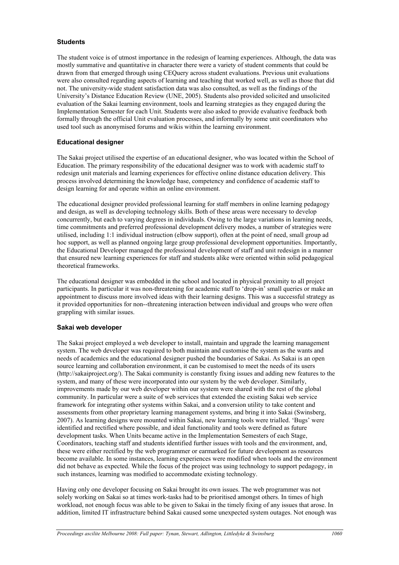#### **Students**

The student voice is of utmost importance in the redesign of learning experiences. Although, the data was mostly summative and quantitative in character there were a variety of student comments that could be drawn from that emerged through using CEQuery across student evaluations. Previous unit evaluations were also consulted regarding aspects of learning and teaching that worked well, as well as those that did not. The university-wide student satisfaction data was also consulted, as well as the findings of the University's Distance Education Review (UNE, 2005). Students also provided solicited and unsolicited evaluation of the Sakai learning environment, tools and learning strategies as they engaged during the Implementation Semester for each Unit. Students were also asked to provide evaluative feedback both formally through the official Unit evaluation processes, and informally by some unit coordinators who used tool such as anonymised forums and wikis within the learning environment.

#### **Educational designer**

The Sakai project utilised the expertise of an educational designer, who was located within the School of Education. The primary responsibility of the educational designer was to work with academic staff to redesign unit materials and learning experiences for effective online distance education delivery. This process involved determining the knowledge base, competency and confidence of academic staff to design learning for and operate within an online environment.

The educational designer provided professional learning for staff members in online learning pedagogy and design, as well as developing technology skills. Both of these areas were necessary to develop concurrently, but each to varying degrees in individuals. Owing to the large variations in learning needs, time commitments and preferred professional development delivery modes, a number of strategies were utilised, including 1:1 individual instruction (elbow support), often at the point of need, small group ad hoc support, as well as planned ongoing large group professional development opportunities. Importantly, the Educational Developer managed the professional development of staff and unit redesign in a manner that ensured new learning experiences for staff and students alike were oriented within solid pedagogical theoretical frameworks.

The educational designer was embedded in the school and located in physical proximity to all project participants. In particular it was non-threatening for academic staff to 'drop-in' small queries or make an appointment to discuss more involved ideas with their learning designs. This was a successful strategy as it provided opportunities for non--threatening interaction between individual and groups who were often grappling with similar issues.

#### **Sakai web developer**

The Sakai project employed a web developer to install, maintain and upgrade the learning management system. The web developer was required to both maintain and customise the system as the wants and needs of academics and the educational designer pushed the boundaries of Sakai. As Sakai is an open source learning and collaboration environment, it can be customised to meet the needs of its users (http://sakaiproject.org/). The Sakai community is constantly fixing issues and adding new features to the system, and many of these were incorporated into our system by the web developer. Similarly, improvements made by our web developer within our system were shared with the rest of the global community. In particular were a suite of web services that extended the existing Sakai web service framework for integrating other systems within Sakai, and a conversion utility to take content and assessments from other proprietary learning management systems, and bring it into Sakai (Swinsberg, 2007). As learning designs were mounted within Sakai, new learning tools were trialled. 'Bugs' were identified and rectified where possible, and ideal functionality and tools were defined as future development tasks. When Units became active in the Implementation Semesters of each Stage, Coordinators, teaching staff and students identified further issues with tools and the environment, and, these were either rectified by the web programmer or earmarked for future development as resources become available. In some instances, learning experiences were modified when tools and the environment did not behave as expected. While the focus of the project was using technology to support pedagogy, in such instances, learning was modified to accommodate existing technology.

Having only one developer focusing on Sakai brought its own issues. The web programmer was not solely working on Sakai so at times work-tasks had to be prioritised amongst others. In times of high workload, not enough focus was able to be given to Sakai in the timely fixing of any issues that arose. In addition, limited IT infrastructure behind Sakai caused some unexpected system outages. Not enough was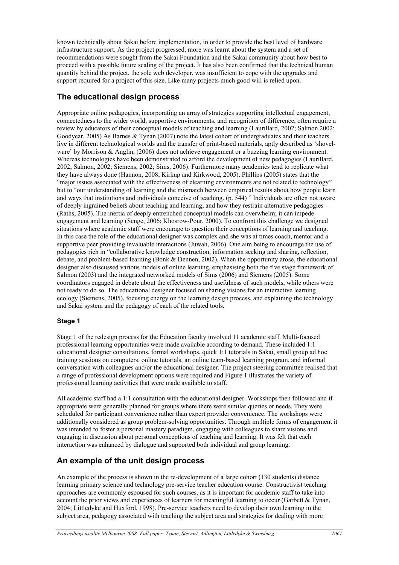known technically about Sakai before implementation, in order to provide the best level of hardware infrastructure support. As the project progressed, more was learnt about the system and a set of recommendations were sought from the Sakai Foundation and the Sakai community about how best to proceed with a possible future scaling of the project. It has also been confirmed that the technical human quantity behind the project, the sole web developer, was insufficient to cope with the upgrades and support required for a project of this size. Like many projects much good will is relied upon.

### **The educational design process**

Appropriate online pedagogies, incorporating an array of strategies supporting intellectual engagement, connectedness to the wider world, supportive environments, and recognition of difference, often require a review by educators of their conceptual models of teaching and learning (Laurillard, 2002; Salmon 2002; Goodyear, 2005) As Barnes & Tynan (2007) note the latest cohort of undergraduates and their teachers live in different technological worlds and the transfer of print-based materials, aptly described as 'shovelware' by Morrison & Anglin, (2006) does not achieve engagement or a buzzing learning environment. Whereas technologies have been demonstrated to afford the development of new pedagogies (Laurillard, 2002; Salmon, 2002; Siemens, 2002; Sims, 2006). Furthermore many academics tend to replicate what they have always done (Hannon, 2008; Kirkup and Kirkwood, 2005). Phillips (2005) states that the "major issues associated with the effectiveness of elearning environments are not related to technology" but to "our understanding of learning and the mismatch between empirical results about how people learn and ways that institutions and individuals conceive of teaching. (p. 544) " Individuals are often not aware of deeply ingrained beliefs about teaching and learning, and how they restrain alternative pedagogies (Raths, 2005). The inertia of deeply entrenched conceptual models can overwhelm; it can impede engagement and learning (Senge, 2006; Khosrow-Pour, 2000). To confront this challenge we designed situations where academic staff were encourage to question their conceptions of learning and teaching. In this case the role of the educational designer was complex and she was at times coach, mentor and a supportive peer providing invaluable interactions (Juwah, 2006). One aim being to encourage the use of pedagogies rich in "collaborative knowledge construction, information seeking and sharing, reflection, debate, and problem-based learning (Bonk & Dennen, 2002). When the opportunity arose, the educational designer also discussed various models of online learning, emphasising both the five stage framework of Salmon (2003) and the integrated networked models of Sims (2006) and Siemens (2005). Some coordinators engaged in debate about the effectiveness and usefulness of such models, while others were not ready to do so. The educational designer focused on sharing visions for an interactive learning ecology (Siemens, 2005), focusing energy on the learning design process, and explaining the technology and Sakai system and the pedagogy of each of the related tools.

#### **Stage 1**

Stage 1 of the redesign process for the Education faculty involved 11 academic staff. Multi-focused professional learning opportunities were made available according to demand. These included 1:1 educational designer consultations, formal workshops, quick 1:1 tutorials in Sakai, small group ad hoc training sessions on computers, online tutorials, an online team-based learning program, and informal conversation with colleagues and/or the educational designer. The project steering committee realised that a range of professional development options were required and Figure 1 illustrates the variety of professional learning activities that were made available to staff.

All academic staff had a 1:1 consultation with the educational designer. Workshops then followed and if appropriate were generally planned for groups where there were similar queries or needs. They were scheduled for participant convenience rather than expert provider convenience. The workshops were additionally considered as group problem-solving opportunities. Through multiple forms of engagement it was intended to foster a personal mastery paradigm, engaging with colleagues to share visions and engaging in discussion about personal conceptions of teaching and learning. It was felt that each interaction was enhanced by dialogue and supported both individual and group learning.

## **An example of the unit design process**

An example of the process is shown in the re-development of a large cohort (130 students) distance learning primary science and technology pre-service teacher education course. Constructivist teaching approaches are commonly espoused for such courses, as it is important for academic staff to take into account the prior views and experiences of learners for meaningful learning to occur (Garbett & Tynan, 2004; Littledyke and Huxford, 1998). Pre-service teachers need to develop their own learning in the subject area, pedagogy associated with teaching the subject area and strategies for dealing with more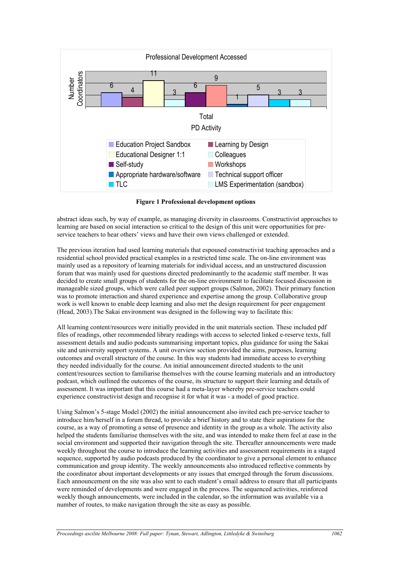

**Figure 1 Professional development options**

abstract ideas such, by way of example, as managing diversity in classrooms. Constructivist approaches to learning are based on social interaction so critical to the design of this unit were opportunities for preservice teachers to hear others' views and have their own views challenged or extended.

The previous iteration had used learning materials that espoused constructivist teaching approaches and a residential school provided practical examples in a restricted time scale. The on-line environment was mainly used as a repository of learning materials for individual access, and an unstructured discussion forum that was mainly used for questions directed predominantly to the academic staff member. It was decided to create small groups of students for the on-line environment to facilitate focused discussion in manageable sized groups, which were called peer support groups (Salmon, 2002). Their primary function was to promote interaction and shared experience and expertise among the group. Collaborative group work is well known to enable deep learning and also met the design requirement for peer engagement (Head, 2003).The Sakai environment was designed in the following way to facilitate this:

All learning content/resources were initially provided in the unit materials section. These included pdf files of readings, other recommended library readings with access to selected linked e-reserve texts, full assessment details and audio podcasts summarising important topics, plus guidance for using the Sakai site and university support systems. A unit overview section provided the aims, purposes, learning outcomes and overall structure of the course. In this way students had immediate access to everything they needed individually for the course. An initial announcement directed students to the unit content/resources section to familiarise themselves with the course learning materials and an introductory podcast, which outlined the outcomes of the course, its structure to support their learning and details of assessment. It was important that this course had a meta-layer whereby pre-service teachers could experience constructivist design and recognise it for what it was - a model of good practice.

Using Salmon's 5-stage Model (2002) the initial announcement also invited each pre-service teacher to introduce him/herself in a forum thread, to provide a brief history and to state their aspirations for the course, as a way of promoting a sense of presence and identity in the group as a whole. The activity also helped the students familiarise themselves with the site, and was intended to make them feel at ease in the social environment and supported their navigation through the site. Thereafter announcements were made weekly throughout the course to introduce the learning activities and assessment requirements in a staged sequence, supported by audio podcasts produced by the coordinator to give a personal element to enhance communication and group identity. The weekly announcements also introduced reflective comments by the coordinator about important developments or any issues that emerged through the forum discussions. Each announcement on the site was also sent to each student's email address to ensure that all participants were reminded of developments and were engaged in the process. The sequenced activities, reinforced weekly though announcements, were included in the calendar, so the information was available via a number of routes, to make navigation through the site as easy as possible.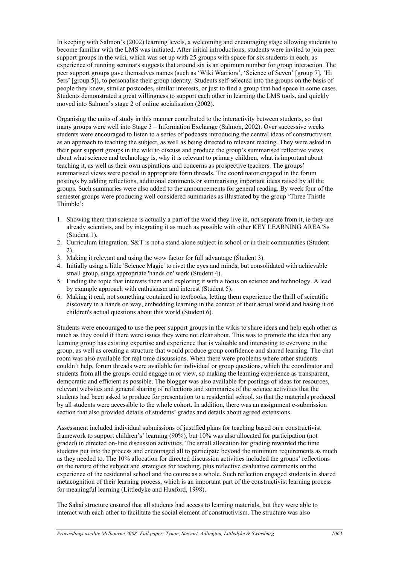In keeping with Salmon's (2002) learning levels, a welcoming and encouraging stage allowing students to become familiar with the LMS was initiated. After initial introductions, students were invited to join peer support groups in the wiki, which was set up with 25 groups with space for six students in each, as experience of running seminars suggests that around six is an optimum number for group interaction. The peer support groups gave themselves names (such as 'Wiki Warriors', 'Science of Seven' [group 7], 'Hi 5ers' [group 5]), to personalise their group identity. Students self-selected into the groups on the basis of people they knew, similar postcodes, similar interests, or just to find a group that had space in some cases. Students demonstrated a great willingness to support each other in learning the LMS tools, and quickly moved into Salmon's stage 2 of online socialisation (2002).

Organising the units of study in this manner contributed to the interactivity between students, so that many groups were well into Stage 3 – Information Exchange (Salmon, 2002). Over successive weeks students were encouraged to listen to a series of podcasts introducing the central ideas of constructivism as an approach to teaching the subject, as well as being directed to relevant reading. They were asked in their peer support groups in the wiki to discuss and produce the group's summarised reflective views about what science and technology is, why it is relevant to primary children, what is important about teaching it, as well as their own aspirations and concerns as prospective teachers. The groups' summarised views were posted in appropriate form threads. The coordinator engaged in the forum postings by adding reflections, additional comments or summarising important ideas raised by all the groups. Such summaries were also added to the announcements for general reading. By week four of the semester groups were producing well considered summaries as illustrated by the group 'Three Thistle Thimble':

- 1. Showing them that science is actually a part of the world they live in, not separate from it, ie they are already scientists, and by integrating it as much as possible with other KEY LEARNING AREA'Ss (Student 1).
- 2. Curriculum integration; S&T is not a stand alone subject in school or in their communities (Student 2).
- 3. Making it relevant and using the wow factor for full advantage (Student 3).
- 4. Initially using a little 'Science Magic' to rivet the eyes and minds, but consolidated with achievable small group, stage appropriate 'hands on' work (Student 4).
- 5. Finding the topic that interests them and exploring it with a focus on science and technology. A lead by example approach with enthusiasm and interest (Student 5).
- 6. Making it real, not something contained in textbooks, letting them experience the thrill of scientific discovery in a hands on way, embedding learning in the context of their actual world and basing it on children's actual questions about this world (Student 6).

Students were encouraged to use the peer support groups in the wikis to share ideas and help each other as much as they could if there were issues they were not clear about. This was to promote the idea that any learning group has existing expertise and experience that is valuable and interesting to everyone in the group, as well as creating a structure that would produce group confidence and shared learning. The chat room was also available for real time discussions. When there were problems where other students couldn't help, forum threads were available for individual or group questions, which the coordinator and students from all the groups could engage in or view, so making the learning experience as transparent, democratic and efficient as possible. The blogger was also available for postings of ideas for resources, relevant websites and general sharing of reflections and summaries of the science activities that the students had been asked to produce for presentation to a residential school, so that the materials produced by all students were accessible to the whole cohort. In addition, there was an assignment e-submission section that also provided details of students' grades and details about agreed extensions.

Assessment included individual submissions of justified plans for teaching based on a constructivist framework to support children's' learning (90%), but 10% was also allocated for participation (not graded) in directed on-line discussion activities. The small allocation for grading rewarded the time students put into the process and encouraged all to participate beyond the minimum requirements as much as they needed to. The 10% allocation for directed discussion activities included the groups' reflections on the nature of the subject and strategies for teaching, plus reflective evaluative comments on the experience of the residential school and the course as a whole. Such reflection engaged students in shared metacognition of their learning process, which is an important part of the constructivist learning process for meaningful learning (Littledyke and Huxford, 1998).

The Sakai structure ensured that all students had access to learning materials, but they were able to interact with each other to facilitate the social element of constructivism. The structure was also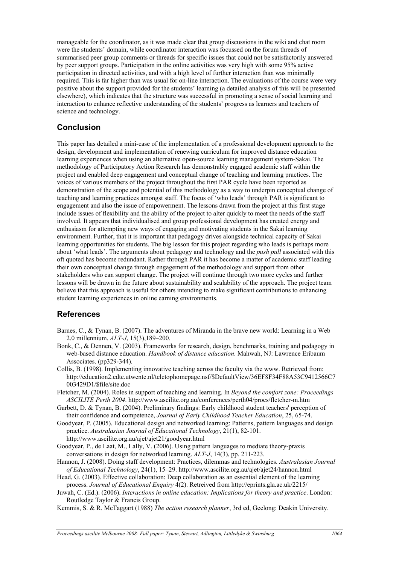manageable for the coordinator, as it was made clear that group discussions in the wiki and chat room were the students' domain, while coordinator interaction was focussed on the forum threads of summarised peer group comments or threads for specific issues that could not be satisfactorily answered by peer support groups. Participation in the online activities was very high with some 95% active participation in directed activities, and with a high level of further interaction than was minimally required. This is far higher than was usual for on-line interaction. The evaluations of the course were very positive about the support provided for the students' learning (a detailed analysis of this will be presented elsewhere), which indicates that the structure was successful in promoting a sense of social learning and interaction to enhance reflective understanding of the students' progress as learners and teachers of science and technology.

### **Conclusion**

This paper has detailed a mini-case of the implementation of a professional development approach to the design, development and implementation of renewing curriculum for improved distance education learning experiences when using an alternative open-source learning management system-Sakai. The methodology of Participatory Action Research has demonstrably engaged academic staff within the project and enabled deep engagement and conceptual change of teaching and learning practices. The voices of various members of the project throughout the first PAR cycle have been reported as demonstration of the scope and potential of this methodology as a way to underpin conceptual change of teaching and learning practices amongst staff. The focus of 'who leads' through PAR is significant to engagement and also the issue of empowerment. The lessons drawn from the project at this first stage include issues of flexibility and the ability of the project to alter quickly to meet the needs of the staff involved. It appears that individualised and group professional development has created energy and enthusiasm for attempting new ways of engaging and motivating students in the Sakai learning environment. Further, that it is important that pedagogy drives alongside technical capacity of Sakai learning opportunities for students. The big lesson for this project regarding who leads is perhaps more about 'what leads'. The arguments about pedagogy and technology and the *push pull* associated with this oft quoted has become redundant. Rather through PAR it has become a matter of academic staff leading their own conceptual change through engagement of the methodology and support from other stakeholders who can support change. The project will continue through two more cycles and further lessons will be drawn in the future about sustainability and scalability of the approach. The project team believe that this approach is useful for others intending to make significant contributions to enhancing student learning experiences in online earning environments.

## **References**

- Barnes, C., & Tynan, B. (2007). The adventures of Miranda in the brave new world: Learning in a Web 2.0 millennium. *ALT-J*, 15(3),189–200.
- Bonk, C., & Dennen, V. (2003). Frameworks for research, design, benchmarks, training and pedagogy in web-based distance education. *Handbook of distance education*. Mahwah, NJ: Lawrence Eribaum Associates. (pp329-344).
- Collis, B. (1998). Implementing innovative teaching across the faculty via the www. Retrieved from: http://education2.edte.utwente.nl/teletophomepage.nsf/\$DefaultView/36EF8F34F88A53C9412566C7 003429D1/\$file/site.doc
- Fletcher, M. (2004). Roles in support of teaching and learning. In *Beyond the comfort zone: Proceedings ASCILITE Perth 2004*. http://www.ascilite.org.au/conferences/perth04/procs/fletcher-m.htm
- Garbett, D. & Tynan, B. (2004). Preliminary findings: Early childhood student teachers' perception of their confidence and competence, *Journal of Early Childhood Teacher Education*, 25, 65-74.
- Goodyear, P. (2005). Educational design and networked learning: Patterns, pattern languages and design practice. *Australasian Journal of Educational Technology*, 21(1), 82-101. http://www.ascilite.org.au/ajet/ajet21/goodyear.html
- Goodyear, P., de Laat, M., Lally, V. (2006). Using pattern languages to mediate theory-praxis conversations in design for networked learning. *ALT-J*, 14(3), pp. 211-223.
- Hannon, J. (2008). Doing staff development: Practices, dilemmas and technologies. *Australasian Journal of Educational Technology*, 24(1), 15–29. http://www.ascilite.org.au/ajet/ajet24/hannon.html
- Head, G. (2003). Effective collaboration: Deep collaboration as an essential element of the learning process. *Journal of Educational Enquiry* 4(2). Retreived from http://eprints.gla.ac.uk/2215/
- Juwah, C. (Ed.). (2006). *Interactions in online education: Implications for theory and practice*. London: Routledge Taylor & Francis Group.
- Kemmis, S. & R. McTaggart (1988) *The action research planner*, 3rd ed, Geelong: Deakin University.